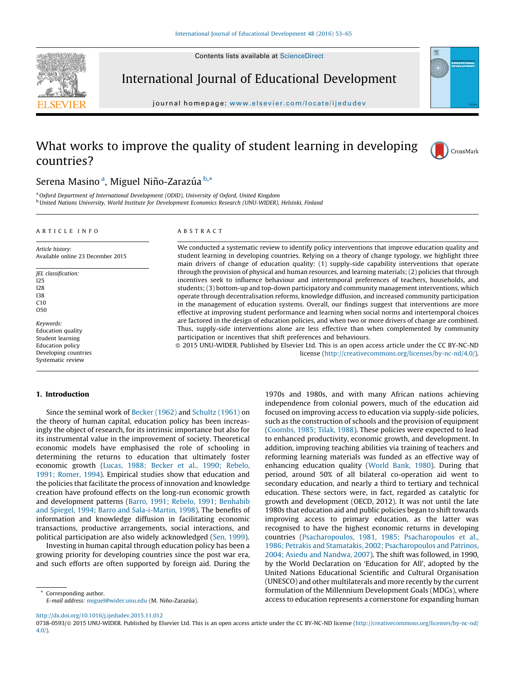Contents lists available at [ScienceDirect](http://www.sciencedirect.com/science/journal/07380593)



International Journal of Educational Development

journal homepage: www.elsevier.com/locate/ijedudev

# What works to improve the quality of student learning in developing countries?



CrossMark

## Serena Masino <sup>a</sup>, Miguel Niño-Zarazúa <sup>b,</sup>\*

<sup>a</sup> Oxford Department of International Development (ODID), University of Oxford, United Kingdom <sup>b</sup>United Nations University, World Institute for Development Economics Research (UNU-WIDER), Helsinki, Finland

#### A R T I C L E I N F O

Article history: Available online 23 December 2015

JEL classification: I25 I28 I38 C10 O50

Keywords: Education quality Student learning Education policy Developing countries Systematic review

1. Introduction

## A B S T R A C T

We conducted a systematic review to identify policy interventions that improve education quality and student learning in developing countries. Relying on a theory of change typology, we highlight three main drivers of change of education quality: (1) supply-side capability interventions that operate through the provision of physical and human resources, and learning materials; (2) policies that through incentives seek to influence behaviour and intertemporal preferences of teachers, households, and students; (3) bottom-up and top-down participatory and community management interventions, which operate through decentralisation reforms, knowledge diffusion, and increased community participation in the management of education systems. Overall, our findings suggest that interventions are more effective at improving student performance and learning when social norms and intertemporal choices are factored in the design of education policies, and when two or more drivers of change are combined. Thus, supply-side interventions alone are less effective than when complemented by community participation or incentives that shift preferences and behaviours.

 $\odot$  2015 UNU-WIDER. Published by Elsevier Ltd. This is an open access article under the CC BY-NC-ND license [\(http://creativecommons.org/licenses/by-nc-nd/4.0/](http://creativecommons.org/licenses/by-nc-nd/4.0/)).

## Since the seminal work of Becker [\(1962\)](#page-11-0) and [Schultz](#page-12-0) (1961) on the theory of human capital, education policy has been increasingly the object of research, for its intrinsic importance but also for its instrumental value in the improvement of society. Theoretical economic models have emphasised the role of schooling in determining the returns to education that ultimately foster economic growth (Lucas, 1988; Becker et al., 1990; [Rebelo,](#page-11-0) 1991; [Romer,](#page-11-0) 1994). Empirical studies show that education and the policies that facilitate the process of innovation and knowledge creation have profound effects on the long-run economic growth and development patterns (Barro, 1991; Rebelo, 1991; [Benhabib](#page-11-0) and Spiegel, 1994; Barro and [Sala-i-Martin,](#page-11-0) 1998). The benefits of information and knowledge diffusion in facilitating economic transactions, productive arrangements, social interactions, and political participation are also widely acknowledged (Sen, [1999\)](#page-12-0).

Investing in human capital through education policy has been a growing priority for developing countries since the post war era, and such efforts are often supported by foreign aid. During the

Corresponding author. E-mail address: [miguel@wider.unu.edu](mailto:miguel@wider.unu.edu) (M. Niño-Zarazúa). 1970s and 1980s, and with many African nations achieving independence from colonial powers, much of the education aid focused on improving access to education via supply-side policies, such as the construction of schools and the provision of equipment ([Coombs,](#page-11-0) 1985; Tilak, 1988). These policies were expected to lead to enhanced productivity, economic growth, and development. In addition, improving teaching abilities via training of teachers and reforming learning materials was funded as an effective way of enhancing education quality ([World](#page-12-0) Bank, 1980). During that period, around 50% of all bilateral co-operation aid went to secondary education, and nearly a third to tertiary and technical education. These sectors were, in fact, regarded as catalytic for growth and development (OECD, 2012). It was not until the late 1980s that education aid and public policies began to shift towards improving access to primary education, as the latter was recognised to have the highest economic returns in developing countries [\(Psacharopoulos,](#page-12-0) 1981, 1985; Psacharopoulos et al., 1986; Petrakis and Stamatakis, 2002; [Psacharopoulos](#page-12-0) and Patrinos, 2004; Asiedu and [Nandwa,](#page-12-0) 2007). The shift was followed, in 1990, by the World Declaration on 'Education for All', adopted by the United Nations Educational Scientific and Cultural Organisation (UNESCO) and other multilaterals and more recently by the current formulation of the Millennium Development Goals (MDGs), where access to education represents a cornerstone for expanding human

<http://dx.doi.org/10.1016/j.ijedudev.2015.11.012>

0738-0593/@ 2015 UNU-WIDER. Published by Elsevier Ltd. This is an open access article under the CC BY-NC-ND license ([http://creativecommons.org/licenses/by-nc-nd/](http://creativecommons.org/licenses/by-nc-nd/4.0/) [4.0/](http://creativecommons.org/licenses/by-nc-nd/4.0/)).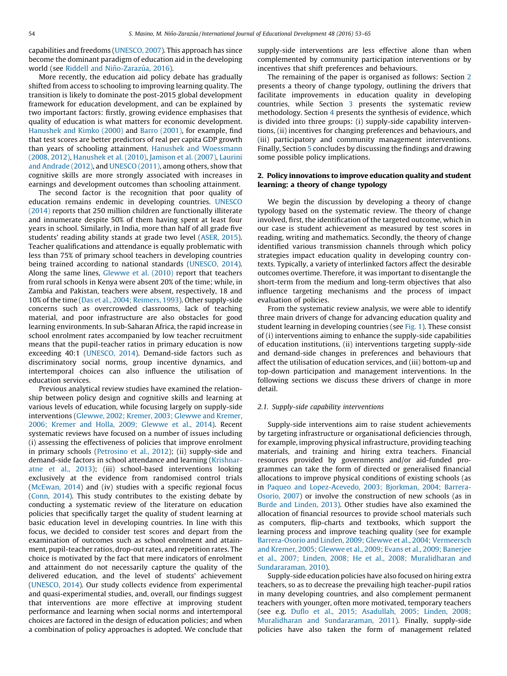<span id="page-1-0"></span>capabilities and freedoms ([UNESCO,](#page-12-0) 2007). This approach has since become the dominant paradigm of education aid in the developing world (see Riddell and Niño-Zarazúa, 2016).

More recently, the education aid policy debate has gradually shifted from access to schooling to improving learning quality. The transition is likely to dominate the post-2015 global development framework for education development, and can be explained by two important factors: firstly, growing evidence emphasises that quality of education is what matters for economic development. [Hanushek](#page-11-0) and Kimko (2000) and Barro [\(2001\),](#page-11-0) for example, find that test scores are better predictors of real per capita GDP growth than years of schooling attainment. Hanushek and [Woessmann](#page-11-0) [\(2008,](#page-11-0) 2012), [Hanushek](#page-11-0) et al. (2010), [Jamison](#page-11-0) et al. (2007), [Laurini](#page-11-0) and [Andrade](#page-11-0) (2012), and [UNESCO](#page-12-0) (2011), among others, show that cognitive skills are more strongly associated with increases in earnings and development outcomes than schooling attainment.

The second factor is the recognition that poor quality of education remains endemic in developing countries. [UNESCO](#page-12-0) [\(2014\)](#page-12-0) reports that 250 million children are functionally illiterate and innumerate despite 50% of them having spent at least four years in school. Similarly, in India, more than half of all grade five students' reading ability stands at grade two level [\(ASER,](#page-11-0) 2015). Teacher qualifications and attendance is equally problematic with less than 75% of primary school teachers in developing countries being trained according to national standards ([UNESCO,](#page-12-0) 2014). Along the same lines, [Glewwe](#page-11-0) et al. (2010) report that teachers from rural schools in Kenya were absent 20% of the time; while, in Zambia and Pakistan, teachers were absent, respectively, 18 and 10% of the time (Das et al., 2004; [Reimers,](#page-11-0) 1993). Other supply-side concerns such as overcrowded classrooms, lack of teaching material, and poor infrastructure are also obstacles for good learning environments. In sub-Saharan Africa, the rapid increase in school enrolment rates accompanied by low teacher recruitment means that the pupil-teacher ratios in primary education is now exceeding 40:1 ([UNESCO,](#page-12-0) 2014). Demand-side factors such as discriminatory social norms, group incentive dynamics, and intertemporal choices can also influence the utilisation of education services.

Previous analytical review studies have examined the relationship between policy design and cognitive skills and learning at various levels of education, while focusing largely on supply-side interventions ([Glewwe,](#page-11-0) 2002; Kremer, 2003; Glewwe and Kremer, 2006; Kremer and Holla, 2009; [Glewwe](#page-11-0) et al., 2014). Recent systematic reviews have focused on a number of issues including (i) assessing the effectiveness of policies that improve enrolment in primary schools [\(Petrosino](#page-12-0) et al., 2012); (ii) supply-side and demand-side factors in school attendance and learning ([Krishnar](#page-11-0)atne et al., [2013](#page-11-0)); (iii) school-based interventions looking exclusively at the evidence from randomised control trials ([McEwan,](#page-11-0) 2014) and (iv) studies with a specific regional focus ([Conn,](#page-11-0) 2014). This study contributes to the existing debate by conducting a systematic review of the literature on education policies that specifically target the quality of student learning at basic education level in developing countries. In line with this focus, we decided to consider test scores and depart from the examination of outcomes such as school enrolment and attainment, pupil-teacher ratios, drop-out rates, and repetition rates. The choice is motivated by the fact that mere indicators of enrolment and attainment do not necessarily capture the quality of the delivered education, and the level of students' achievement ([UNESCO,](#page-12-0) 2014). Our study collects evidence from experimental and quasi-experimental studies, and, overall, our findings suggest that interventions are more effective at improving student performance and learning when social norms and intertemporal choices are factored in the design of education policies; and when a combination of policy approaches is adopted. We conclude that supply-side interventions are less effective alone than when complemented by community participation interventions or by incentives that shift preferences and behaviours.

The remaining of the paper is organised as follows: Section 2 presents a theory of change typology, outlining the drivers that facilitate improvements in education quality in developing countries, while Section [3](#page-3-0) presents the systematic review methodology. Section [4](#page-4-0) presents the synthesis of evidence, which is divided into three groups: (i) supply-side capability interventions, (ii) incentives for changing preferences and behaviours, and (iii) participatory and community management interventions. Finally, Section [5](#page-6-0) concludes by discussing the findings and drawing some possible policy implications.

## 2. Policy innovations to improve education quality and student learning: a theory of change typology

We begin the discussion by developing a theory of change typology based on the systematic review. The theory of change involved, first, the identification of the targeted outcome, which in our case is student achievement as measured by test scores in reading, writing and mathematics. Secondly, the theory of change identified various transmission channels through which policy strategies impact education quality in developing country contexts. Typically, a variety of interlinked factors affect the desirable outcomes overtime. Therefore, it was important to disentangle the short-term from the medium and long-term objectives that also influence targeting mechanisms and the process of impact evaluation of policies.

From the systematic review analysis, we were able to identify three main drivers of change for advancing education quality and student learning in developing countries (see [Fig.](#page-2-0) 1). These consist of (i) interventions aiming to enhance the supply-side capabilities of education institutions, (ii) interventions targeting supply-side and demand-side changes in preferences and behaviours that affect the utilisation of education services, and (iii) bottom-up and top-down participation and management interventions. In the following sections we discuss these drivers of change in more detail.

#### 2.1. Supply-side capability interventions

Supply-side interventions aim to raise student achievements by targeting infrastructure or organisational deficiencies through, for example, improving physical infrastructure, providing teaching materials, and training and hiring extra teachers. Financial resources provided by governments and/or aid-funded programmes can take the form of directed or generalised financial allocations to improve physical conditions of existing schools (as in Paqueo and [Lopez-Acevedo,](#page-11-0) 2003; Bjorkman, 2004; Barrera-[Osorio,](#page-11-0) 2007) or involve the construction of new schools (as in Burde and [Linden,](#page-11-0) 2013). Other studies have also examined the allocation of financial resources to provide school materials such as computers, flip-charts and textbooks, which support the learning process and improve teaching quality (see for example [Barrera-Osorio](#page-11-0) and Linden, 2009; Glewwe et al., 2004; Vermeersch and Kremer, 2005; Glewwe et al., 2009; Evans et al., 2009; [Banerjee](#page-11-0) et al., 2007; Linden, 2008; He et al., 2008; [Muralidharan](#page-11-0) and [Sundararaman,](#page-11-0) 2010).

Supply-side education policies have also focused on hiring extra teachers, so as to decrease the prevailing high teacher-pupil ratios in many developing countries, and also complement permanent teachers with younger, often more motivated, temporary teachers (see e.g. Duflo et al., 2015; [Asadullah,](#page-11-0) 2005; Linden, 2008; Muralidharan and [Sundararaman,](#page-11-0) 2011). Finally, supply-side policies have also taken the form of management related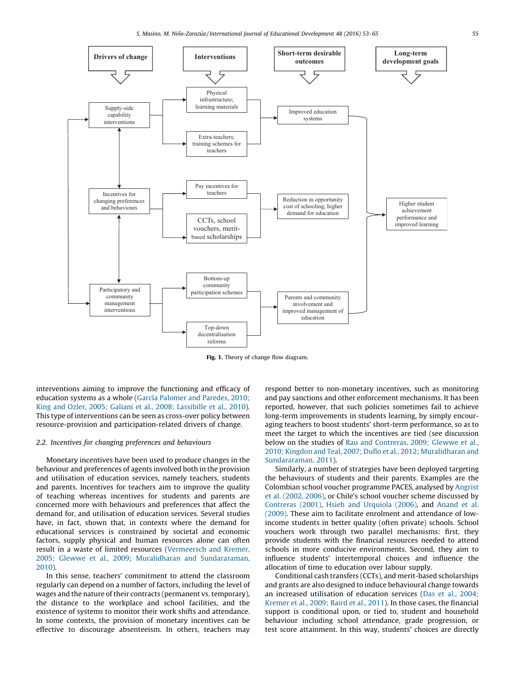<span id="page-2-0"></span>

Fig. 1. Theory of change flow diagram.

interventions aiming to improve the functioning and efficacy of education systems as a whole (García [Palomer](#page-11-0) and Paredes, 2010; King and Ozler, 2005; Galiani et al., 2008; [Lassibille](#page-11-0) et al., 2010). This type of interventions can be seen as cross-over policy between resource-provision and participation-related drivers of change.

#### 2.2. Incentives for changing preferences and behaviours

Monetary incentives have been used to produce changes in the behaviour and preferences of agents involved both in the provision and utilisation of education services, namely teachers, students and parents. Incentives for teachers aim to improve the quality of teaching whereas incentives for students and parents are concerned more with behaviours and preferences that affect the demand for, and utilisation of education services. Several studies have, in fact, shown that, in contexts where the demand for educational services is constrained by societal and economic factors, supply physical and human resources alone can often result in a waste of limited resources ([Vermeersch](#page-12-0) and Kremer, 2005; Glewwe et al., 2009; Muralidharan and [Sundararaman,](#page-12-0) [2010\)](#page-12-0).

In this sense, teachers' commitment to attend the classroom regularly can depend on a number of factors, including the level of wages and the nature of their contracts (permanent vs. temporary), the distance to the workplace and school facilities, and the existence of systems to monitor their work shifts and attendance. In some contexts, the provision of monetary incentives can be effective to discourage absenteeism. In others, teachers may

respond better to non-monetary incentives, such as monitoring and pay sanctions and other enforcement mechanisms. It has been reported, however, that such policies sometimes fail to achieve long-term improvements in students learning, by simply encouraging teachers to boost students' short-term performance, so as to meet the target to which the incentives are tied (see discussion below on the studies of Rau and [Contreras,](#page-12-0) 2009; Glewwe et al., 2010; Kingdon and Teal, 2007; Duflo et al., 2012; [Muralidharan](#page-12-0) and [Sundararaman,](#page-12-0) 2011).

Similarly, a number of strategies have been deployed targeting the behaviours of students and their parents. Examples are the Colombian school voucher programme PACES, analysed by [Angrist](#page-11-0) et al. [\(2002,](#page-11-0) 2006), or Chile's school voucher scheme discussed by [Contreras](#page-11-0) (2001), Hsieh and [Urquiola](#page-11-0) (2006), and [Anand](#page-11-0) et al. [\(2009\).](#page-11-0) These aim to facilitate enrolment and attendance of lowincome students in better quality (often private) schools. School vouchers work through two parallel mechanisms: first, they provide students with the financial resources needed to attend schools in more conducive environments. Second, they aim to influence students' intertemporal choices and influence the allocation of time to education over labour supply.

Conditional cash transfers (CCTs), and merit-based scholarships and grants are also designed to induce behavioural change towards an increased utilisation of education services (Das et al., [2004;](#page-11-0) [Kremer](#page-11-0) et al., 2009; Baird et al., 2011). In those cases, the financial support is conditional upon, or tied to, student and household behaviour including school attendance, grade progression, or test score attainment. In this way, students' choices are directly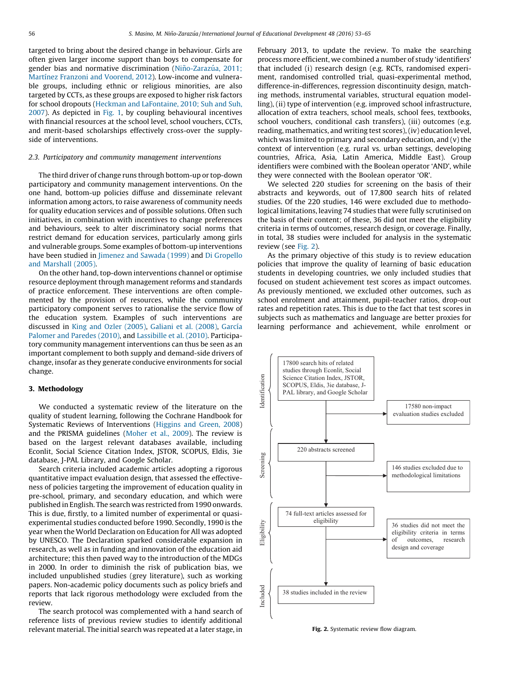<span id="page-3-0"></span>targeted to bring about the desired change in behaviour. Girls are often given larger income support than boys to compensate for gender bias and normative discrimination (Niño-Zarazúa, 2011; Martinez Franzoni and [Voorend,](#page-11-0) 2012). Low-income and vulnerable groups, including ethnic or religious minorities, are also targeted by CCTs, as these groups are exposed to higher risk factors for school dropouts (Heckman and [LaFontaine,](#page-11-0) 2010; Suh and Suh, [2007\)](#page-11-0). As depicted in [Fig.](#page-2-0) 1, by coupling behavioural incentives with financial resources at the school level, school vouchers, CCTs, and merit-based scholarships effectively cross-over the supplyside of interventions.

#### 2.3. Participatory and community management interventions

The third driver of change runs through bottom-up or top-down participatory and community management interventions. On the one hand, bottom-up policies diffuse and disseminate relevant information among actors, to raise awareness of community needs for quality education services and of possible solutions. Often such initiatives, in combination with incentives to change preferences and behaviours, seek to alter discriminatory social norms that restrict demand for education services, particularly among girls and vulnerable groups. Some examples of bottom-up interventions have been studied in [Jimenez](#page-11-0) and Sawada (1999) and Di [Gropello](#page-11-0) and [Marshall](#page-11-0) (2005).

On the other hand, top-down interventions channel or optimise resource deployment through management reforms and standards of practice enforcement. These interventions are often complemented by the provision of resources, while the community participatory component serves to rationalise the service flow of the education system. Examples of such interventions are discussed in King and Ozler [\(2005\),](#page-11-0) [Galiani](#page-11-0) et al. (2008), García [Palomer](#page-11-0) and Paredes (2010), and [Lassibille](#page-11-0) et al. (2010). Participatory community management interventions can thus be seen as an important complement to both supply and demand-side drivers of change, insofar as they generate conducive environments for social change.

### 3. Methodology

We conducted a systematic review of the literature on the quality of student learning, following the Cochrane Handbook for Systematic Reviews of Interventions [\(Higgins](#page-11-0) and Green, 2008) and the PRISMA guidelines [\(Moher](#page-11-0) et al., 2009). The review is based on the largest relevant databases available, including Econlit, Social Science Citation Index, JSTOR, SCOPUS, Eldis, 3ie database, J-PAL Library, and Google Scholar.

Search criteria included academic articles adopting a rigorous quantitative impact evaluation design, that assessed the effectiveness of policies targeting the improvement of education quality in pre-school, primary, and secondary education, and which were published in English. The search was restricted from 1990 onwards. This is due, firstly, to a limited number of experimental or quasiexperimental studies conducted before 1990. Secondly, 1990 is the year when the World Declaration on Education for All was adopted by UNESCO. The Declaration sparked considerable expansion in research, as well as in funding and innovation of the education aid architecture; this then paved way to the introduction of the MDGs in 2000. In order to diminish the risk of publication bias, we included unpublished studies (grey literature), such as working papers. Non-academic policy documents such as policy briefs and reports that lack rigorous methodology were excluded from the review.

The search protocol was complemented with a hand search of reference lists of previous review studies to identify additional relevant material. The initial search was repeated at a later stage, in

February 2013, to update the review. To make the searching process more efficient, we combined a number of study 'identifiers' that included (i) research design (e.g. RCTs, randomised experiment, randomised controlled trial, quasi-experimental method, difference-in-differences, regression discontinuity design, matching methods, instrumental variables, structural equation modelling), (ii) type of intervention (e.g. improved school infrastructure, allocation of extra teachers, school meals, school fees, textbooks, school vouchers, conditional cash transfers), (iii) outcomes (e.g. reading, mathematics, and writing test scores), (iv) education level, which was limited to primary and secondary education, and (v) the context of intervention (e.g. rural vs. urban settings, developing countries, Africa, Asia, Latin America, Middle East). Group identifiers were combined with the Boolean operator 'AND', while they were connected with the Boolean operator 'OR'.

We selected 220 studies for screening on the basis of their abstracts and keywords, out of 17,800 search hits of related studies. Of the 220 studies, 146 were excluded due to methodological limitations, leaving 74 studies that were fully scrutinised on the basis of their content; of these, 36 did not meet the eligibility criteria in terms of outcomes, research design, or coverage. Finally, in total, 38 studies were included for analysis in the systematic review (see Fig. 2).

As the primary objective of this study is to review education policies that improve the quality of learning of basic education students in developing countries, we only included studies that focused on student achievement test scores as impact outcomes. As previously mentioned, we excluded other outcomes, such as school enrolment and attainment, pupil-teacher ratios, drop-out rates and repetition rates. This is due to the fact that test scores in subjects such as mathematics and language are better proxies for learning performance and achievement, while enrolment or



Fig. 2. Systematic review flow diagram.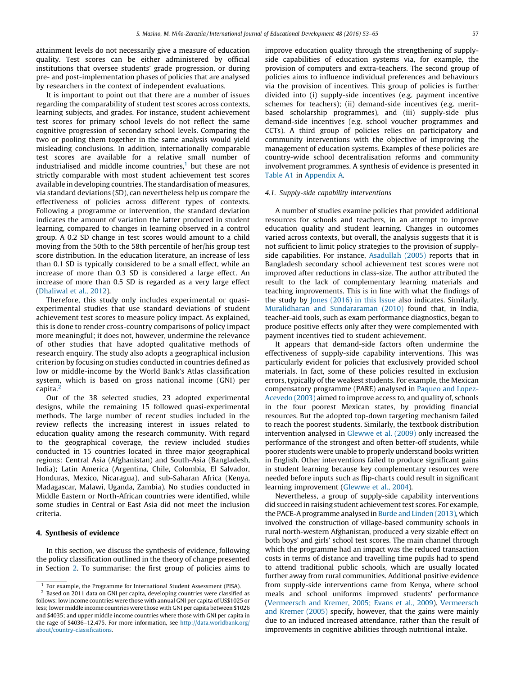<span id="page-4-0"></span>attainment levels do not necessarily give a measure of education quality. Test scores can be either administered by official institutions that oversee students' grade progression, or during pre- and post-implementation phases of policies that are analysed by researchers in the context of independent evaluations.

It is important to point out that there are a number of issues regarding the comparability of student test scores across contexts, learning subjects, and grades. For instance, student achievement test scores for primary school levels do not reflect the same cognitive progression of secondary school levels. Comparing the two or pooling them together in the same analysis would yield misleading conclusions. In addition, internationally comparable test scores are available for a relative small number of industrialised and middle income countries.<sup>1</sup> but these are not strictly comparable with most student achievement test scores available in developing countries. The standardisation of measures, via standard deviations (SD), can nevertheless help us compare the effectiveness of policies across different types of contexts. Following a programme or intervention, the standard deviation indicates the amount of variation the latter produced in student learning, compared to changes in learning observed in a control group. A 0.2 SD change in test scores would amount to a child moving from the 50th to the 58th percentile of her/his group test score distribution. In the education literature, an increase of less than 0.1 SD is typically considered to be a small effect, while an increase of more than 0.3 SD is considered a large effect. An increase of more than 0.5 SD is regarded as a very large effect ([Dhaliwal](#page-11-0) et al., 2012).

Therefore, this study only includes experimental or quasiexperimental studies that use standard deviations of student achievement test scores to measure policy impact. As explained, this is done to render cross-country comparisons of policy impact more meaningful; it does not, however, undermine the relevance of other studies that have adopted qualitative methods of research enquiry. The study also adopts a geographical inclusion criterion by focusing on studies conducted in countries defined as low or middle-income by the World Bank's Atlas classification system, which is based on gross national income (GNI) per capita.<sup>2</sup>

Out of the 38 selected studies, 23 adopted experimental designs, while the remaining 15 followed quasi-experimental methods. The large number of recent studies included in the review reflects the increasing interest in issues related to education quality among the research community. With regard to the geographical coverage, the review included studies conducted in 15 countries located in three major geographical regions: Central Asia (Afghanistan) and South-Asia (Bangladesh, India); Latin America (Argentina, Chile, Colombia, El Salvador, Honduras, Mexico, Nicaragua), and sub-Saharan Africa (Kenya, Madagascar, Malawi, Uganda, Zambia). No studies conducted in Middle Eastern or North-African countries were identified, while some studies in Central or East Asia did not meet the inclusion criteria.

## 4. Synthesis of evidence

In this section, we discuss the synthesis of evidence, following the policy classification outlined in the theory of change presented in Section [2](#page-1-0). To summarise: the first group of policies aims to improve education quality through the strengthening of supplyside capabilities of education systems via, for example, the provision of computers and extra-teachers. The second group of policies aims to influence individual preferences and behaviours via the provision of incentives. This group of policies is further divided into (i) supply-side incentives (e.g. payment incentive schemes for teachers); (ii) demand-side incentives (e.g. meritbased scholarship programmes), and (iii) supply-side plus demand-side incentives (e.g. school voucher programmes and CCTs). A third group of policies relies on participatory and community interventions with the objective of improving the management of education systems. Examples of these policies are country-wide school decentralisation reforms and community involvement programmes. A synthesis of evidence is presented in [Table](#page-7-0) A1 in [Appendix](#page-6-0) A.

#### 4.1. Supply-side capability interventions

A number of studies examine policies that provided additional resources for schools and teachers, in an attempt to improve education quality and student learning. Changes in outcomes varied across contexts, but overall, the analysis suggests that it is not sufficient to limit policy strategies to the provision of supplyside capabilities. For instance, [Asadullah](#page-11-0) (2005) reports that in Bangladesh secondary school achievement test scores were not improved after reductions in class-size. The author attributed the result to the lack of complementary learning materials and teaching improvements. This is in line with what the findings of the study by Jones [\(2016\)](#page-11-0) in this Issue also indicates. Similarly, Muralidharan and [Sundararaman](#page-11-0) (2010) found that, in India, teacher-aid tools, such as exam performance diagnostics, began to produce positive effects only after they were complemented with payment incentives tied to student achievement.

It appears that demand-side factors often undermine the effectiveness of supply-side capability interventions. This was particularly evident for policies that exclusively provided school materials. In fact, some of these policies resulted in exclusion errors, typically of the weakest students. For example, the Mexican compensatory programme (PARE) analysed in [Paqueo](#page-11-0) and Lopez-[Acevedo](#page-11-0) (2003) aimed to improve access to, and quality of, schools in the four poorest Mexican states, by providing financial resources. But the adopted top-down targeting mechanism failed to reach the poorest students. Similarly, the textbook distribution intervention analysed in [Glewwe](#page-11-0) et al. (2009) only increased the performance of the strongest and often better-off students, while poorer students were unable to properly understand books written in English. Other interventions failed to produce significant gains in student learning because key complementary resources were needed before inputs such as flip-charts could result in significant learning improvement ([Glewwe](#page-11-0) et al., 2004).

Nevertheless, a group of supply-side capability interventions did succeed in raising student achievement test scores. For example, the PACE-A programme analysed in Burde and [Linden](#page-11-0) (2013), which involved the construction of village-based community schools in rural north-western Afghanistan, produced a very sizable effect on both boys' and girls' school test scores. The main channel through which the programme had an impact was the reduced transaction costs in terms of distance and travelling time pupils had to spend to attend traditional public schools, which are usually located further away from rural communities. Additional positive evidence from supply-side interventions came from Kenya, where school meals and school uniforms improved students' performance ([Vermeersch](#page-12-0) and Kremer, 2005; Evans et al., 2009). [Vermeersch](#page-12-0) and [Kremer](#page-12-0) (2005) specify, however, that the gains were mainly due to an induced increased attendance, rather than the result of improvements in cognitive abilities through nutritional intake.

<sup>&</sup>lt;sup>1</sup> For example, the Programme for International Student Assessment (PISA).<br><sup>2</sup> Pased on 2011 data on CNI per capital developing countries were classified

<sup>2</sup> Based on 2011 data on GNI per capita, developing countries were classified as follows: low income countries were those with annual GNI per capita of US\$1025 or less; lower middle income countries were those with GNI per capita between \$1026 and \$4035; and upper middle income countries where those with GNI per capita in the rage of \$4036–12,475. For more information, see [http://data.worldbank.org/](http://data.worldbank.org/about/country-classifications) [about/country-classifications](http://data.worldbank.org/about/country-classifications).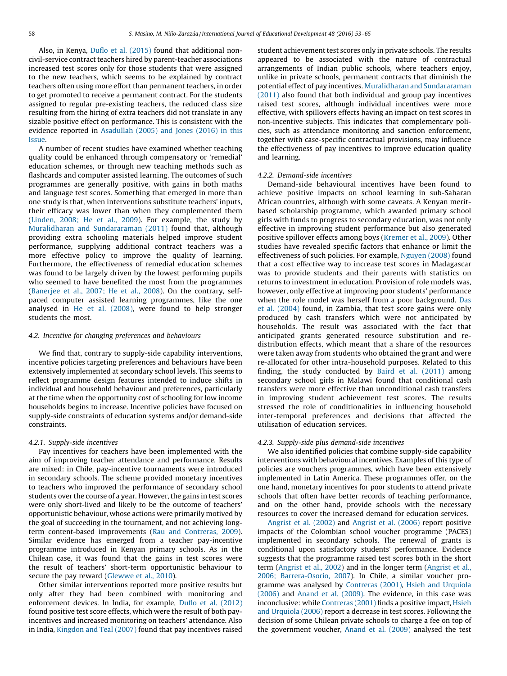Also, in Kenya, Duflo et al. [\(2015\)](#page-11-0) found that additional noncivil-service contract teachers hired by parent-teacher associations increased test scores only for those students that were assigned to the new teachers, which seems to be explained by contract teachers often using more effort than permanent teachers, in order to get promoted to receive a permanent contract. For the students assigned to regular pre-existing teachers, the reduced class size resulting from the hiring of extra teachers did not translate in any sizable positive effect on performance. This is consistent with the evidence reported in [Asadullah](#page-11-0) (2005) and Jones (2016) in this [Issue](#page-11-0).

A number of recent studies have examined whether teaching quality could be enhanced through compensatory or 'remedial' education schemes, or through new teaching methods such as flashcards and computer assisted learning. The outcomes of such programmes are generally positive, with gains in both maths and language test scores. Something that emerged in more than one study is that, when interventions substitute teachers' inputs, their efficacy was lower than when they complemented them ([Linden,](#page-11-0) 2008; He et al., 2009). For example, the study by Muralidharan and [Sundararaman](#page-11-0) (2011) found that, although providing extra schooling materials helped improve student performance, supplying additional contract teachers was a more effective policy to improve the quality of learning. Furthermore, the effectiveness of remedial education schemes was found to be largely driven by the lowest performing pupils who seemed to have benefited the most from the programmes ([Banerjee](#page-11-0) et al., 2007; He et al., 2008). On the contrary, selfpaced computer assisted learning programmes, like the one analysed in He et al. [\(2008\),](#page-11-0) were found to help stronger students the most.

#### 4.2. Incentive for changing preferences and behaviours

We find that, contrary to supply-side capability interventions, incentive policies targeting preferences and behaviours have been extensively implemented at secondary school levels. This seems to reflect programme design features intended to induce shifts in individual and household behaviour and preferences, particularly at the time when the opportunity cost of schooling for low income households begins to increase. Incentive policies have focused on supply-side constraints of education systems and/or demand-side constraints.

#### 4.2.1. Supply-side incentives

Pay incentives for teachers have been implemented with the aim of improving teacher attendance and performance. Results are mixed: in Chile, pay-incentive tournaments were introduced in secondary schools. The scheme provided monetary incentives to teachers who improved the performance of secondary school students over the course of a year. However, the gains in test scores were only short-lived and likely to be the outcome of teachers' opportunistic behaviour, whose actions were primarily motived by the goal of succeeding in the tournament, and not achieving longterm content-based improvements (Rau and [Contreras,](#page-12-0) 2009). Similar evidence has emerged from a teacher pay-incentive programme introduced in Kenyan primary schools. As in the Chilean case, it was found that the gains in test scores were the result of teachers' short-term opportunistic behaviour to secure the pay reward [\(Glewwe](#page-11-0) et al., 2010).

Other similar interventions reported more positive results but only after they had been combined with monitoring and enforcement devices. In India, for example, Duflo et al. [\(2012\)](#page-11-0) found positive test score effects, which were the result of both payincentives and increased monitoring on teachers' attendance. Also in India, [Kingdon](#page-11-0) and Teal (2007) found that pay incentives raised student achievement test scores only in private schools. The results appeared to be associated with the nature of contractual arrangements of Indian public schools, where teachers enjoy, unlike in private schools, permanent contracts that diminish the potential effect of pay incentives. Muralidharan and [Sundararaman](#page-11-0) [\(2011\)](#page-11-0) also found that both individual and group pay incentives raised test scores, although individual incentives were more effective, with spillovers effects having an impact on test scores in non-incentive subjects. This indicates that complementary policies, such as attendance monitoring and sanction enforcement, together with case-specific contractual provisions, may influence the effectiveness of pay incentives to improve education quality and learning.

#### 4.2.2. Demand-side incentives

Demand-side behavioural incentives have been found to achieve positive impacts on school learning in sub-Saharan African countries, although with some caveats. A Kenyan meritbased scholarship programme, which awarded primary school girls with funds to progress to secondary education, was not only effective in improving student performance but also generated positive spillover effects among boys [\(Kremer](#page-11-0) et al., 2009). Other studies have revealed specific factors that enhance or limit the effectiveness of such policies. For example, [Nguyen](#page-11-0) (2008) found that a cost effective way to increase test scores in Madagascar was to provide students and their parents with statistics on returns to investment in education. Provision of role models was, however, only effective at improving poor students' performance when the role model was herself from a poor background. [Das](#page-11-0) et al. [\(2004\)](#page-11-0) found, in Zambia, that test score gains were only produced by cash transfers which were not anticipated by households. The result was associated with the fact that anticipated grants generated resource substitution and redistribution effects, which meant that a share of the resources were taken away from students who obtained the grant and were re-allocated for other intra-household purposes. Related to this finding, the study conducted by Baird et al. [\(2011\)](#page-11-0) among secondary school girls in Malawi found that conditional cash transfers were more effective than unconditional cash transfers in improving student achievement test scores. The results stressed the role of conditionalities in influencing household inter-temporal preferences and decisions that affected the utilisation of education services.

#### 4.2.3. Supply-side plus demand-side incentives

We also identified policies that combine supply-side capability interventions with behavioural incentives. Examples of this type of policies are vouchers programmes, which have been extensively implemented in Latin America. These programmes offer, on the one hand, monetary incentives for poor students to attend private schools that often have better records of teaching performance, and on the other hand, provide schools with the necessary resources to cover the increased demand for education services.

[Angrist](#page-11-0) et al. (2002) and [Angrist](#page-11-0) et al. (2006) report positive impacts of the Colombian school voucher programme (PACES) implemented in secondary schools. The renewal of grants is conditional upon satisfactory students' performance. Evidence suggests that the programme raised test scores both in the short term [\(Angrist](#page-11-0) et al., 2002) and in the longer term [\(Angrist](#page-11-0) et al., 2006; [Barrera-Osorio,](#page-11-0) 2007). In Chile, a similar voucher programme was analysed by [Contreras](#page-11-0) (2001), Hsieh and [Urquiola](#page-11-0) [\(2006\)](#page-11-0) and Anand et al. [\(2009\).](#page-11-0) The evidence, in this case was inconclusive: while [Contreras](#page-11-0) (2001) finds a positive impact, [Hsieh](#page-11-0) and [Urquiola](#page-11-0) (2006) report a decrease in test scores. Following the decision of some Chilean private schools to charge a fee on top of the government voucher, Anand et al. [\(2009\)](#page-11-0) analysed the test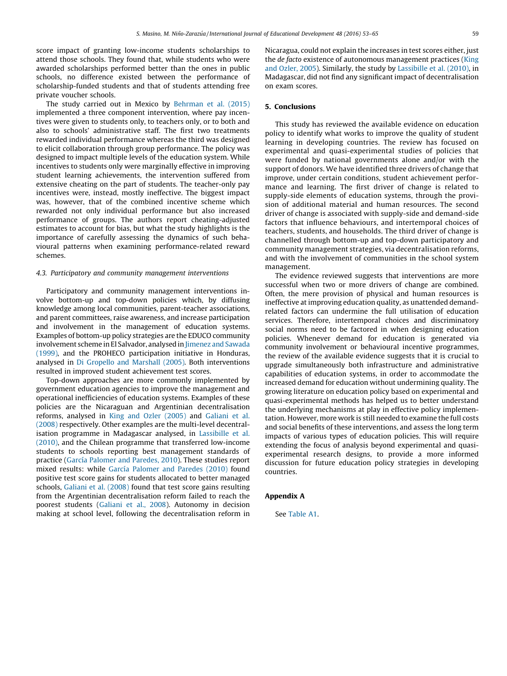<span id="page-6-0"></span>score impact of granting low-income students scholarships to attend those schools. They found that, while students who were awarded scholarships performed better than the ones in public schools, no difference existed between the performance of scholarship-funded students and that of students attending free private voucher schools.

The study carried out in Mexico by [Behrman](#page-11-0) et al. (2015) implemented a three component intervention, where pay incentives were given to students only, to teachers only, or to both and also to schools' administrative staff. The first two treatments rewarded individual performance whereas the third was designed to elicit collaboration through group performance. The policy was designed to impact multiple levels of the education system. While incentives to students only were marginally effective in improving student learning achievements, the intervention suffered from extensive cheating on the part of students. The teacher-only pay incentives were, instead, mostly ineffective. The biggest impact was, however, that of the combined incentive scheme which rewarded not only individual performance but also increased performance of groups. The authors report cheating-adjusted estimates to account for bias, but what the study highlights is the importance of carefully assessing the dynamics of such behavioural patterns when examining performance-related reward schemes.

#### 4.3. Participatory and community management interventions

Participatory and community management interventions involve bottom-up and top-down policies which, by diffusing knowledge among local communities, parent-teacher associations, and parent committees, raise awareness, and increase participation and involvement in the management of education systems. Examples of bottom-up policy strategies are the EDUCO community involvement scheme in El Salvador, analysed in [Jimenez](#page-11-0) and Sawada [\(1999\),](#page-11-0) and the PROHECO participation initiative in Honduras, analysed in Di Gropello and [Marshall](#page-11-0) (2005). Both interventions resulted in improved student achievement test scores.

Top-down approaches are more commonly implemented by government education agencies to improve the management and operational inefficiencies of education systems. Examples of these policies are the Nicaraguan and Argentinian decentralisation reforms, analysed in King and Ozler [\(2005\)](#page-11-0) and [Galiani](#page-11-0) et al. [\(2008\)](#page-11-0) respectively. Other examples are the multi-level decentralisation programme in Madagascar analysed, in [Lassibille](#page-11-0) et al. [\(2010\),](#page-11-0) and the Chilean programme that transferred low-income students to schools reporting best management standards of practice (García [Palomer](#page-11-0) and Paredes, 2010). These studies report mixed results: while García [Palomer](#page-11-0) and Paredes (2010) found positive test score gains for students allocated to better managed schools, [Galiani](#page-11-0) et al. (2008) found that test score gains resulting from the Argentinian decentralisation reform failed to reach the poorest students ([Galiani](#page-11-0) et al., 2008). Autonomy in decision making at school level, following the decentralisation reform in Nicaragua, could not explain the increases in test scores either, just the de facto existence of autonomous management practices [\(King](#page-11-0) and [Ozler,](#page-11-0) 2005). Similarly, the study by [Lassibille](#page-11-0) et al. (2010), in Madagascar, did not find any significant impact of decentralisation on exam scores.

## 5. Conclusions

This study has reviewed the available evidence on education policy to identify what works to improve the quality of student learning in developing countries. The review has focused on experimental and quasi-experimental studies of policies that were funded by national governments alone and/or with the support of donors. We have identified three drivers of change that improve, under certain conditions, student achievement performance and learning. The first driver of change is related to supply-side elements of education systems, through the provision of additional material and human resources. The second driver of change is associated with supply-side and demand-side factors that influence behaviours, and intertemporal choices of teachers, students, and households. The third driver of change is channelled through bottom-up and top-down participatory and community management strategies, via decentralisation reforms, and with the involvement of communities in the school system management.

The evidence reviewed suggests that interventions are more successful when two or more drivers of change are combined. Often, the mere provision of physical and human resources is ineffective at improving education quality, as unattended demandrelated factors can undermine the full utilisation of education services. Therefore, intertemporal choices and discriminatory social norms need to be factored in when designing education policies. Whenever demand for education is generated via community involvement or behavioural incentive programmes, the review of the available evidence suggests that it is crucial to upgrade simultaneously both infrastructure and administrative capabilities of education systems, in order to accommodate the increased demand for education without undermining quality. The growing literature on education policy based on experimental and quasi-experimental methods has helped us to better understand the underlying mechanisms at play in effective policy implementation. However, more work is still needed to examine the full costs and social benefits of these interventions, and assess the long term impacts of various types of education policies. This will require extending the focus of analysis beyond experimental and quasiexperimental research designs, to provide a more informed discussion for future education policy strategies in developing countries.

### Appendix A

See [Table](#page-7-0) A1.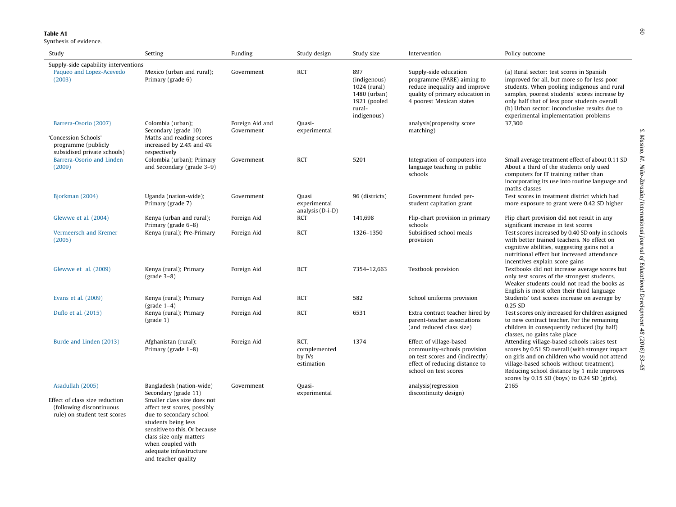<span id="page-7-0"></span>Table A1

Synthesis of evidence.

| Study                                                                                                           | Setting                                                                                                                                                                                                                                                                                              | Funding                       | Study design                                 | Study size                                                                                   | Intervention                                                                                                                                         | Policy outcome                                                                                                                                                                                                                                                                                                                   |
|-----------------------------------------------------------------------------------------------------------------|------------------------------------------------------------------------------------------------------------------------------------------------------------------------------------------------------------------------------------------------------------------------------------------------------|-------------------------------|----------------------------------------------|----------------------------------------------------------------------------------------------|------------------------------------------------------------------------------------------------------------------------------------------------------|----------------------------------------------------------------------------------------------------------------------------------------------------------------------------------------------------------------------------------------------------------------------------------------------------------------------------------|
| Supply-side capability interventions<br>Paqueo and Lopez-Acevedo<br>(2003)                                      | Mexico (urban and rural);<br>Primary (grade 6)                                                                                                                                                                                                                                                       | Government                    | <b>RCT</b>                                   | 897<br>(indigenous)<br>1024 (rural)<br>1480 (urban)<br>1921 (pooled<br>rural-<br>indigenous) | Supply-side education<br>programme (PARE) aiming to<br>reduce inequality and improve<br>quality of primary education in<br>4 poorest Mexican states  | (a) Rural sector: test scores in Spanish<br>improved for all, but more so for less poor<br>students. When pooling indigenous and rural<br>samples, poorest students' scores increase by<br>only half that of less poor students overall<br>(b) Urban sector: inconclusive results due to<br>experimental implementation problems |
| Barrera-Osorio (2007)<br>'Concession Schools'<br>programme (publicly<br>subsidised private schools)             | Colombia (urban);<br>Secondary (grade 10)<br>Maths and reading scores<br>increased by 2.4% and 4%<br>respectively                                                                                                                                                                                    | Foreign Aid and<br>Government | Quasi-<br>experimental                       |                                                                                              | analysis(propensity score<br>matching)                                                                                                               | 37,300                                                                                                                                                                                                                                                                                                                           |
| Barrera-Osorio and Linden<br>(2009)                                                                             | Colombia (urban); Primary<br>and Secondary (grade 3-9)                                                                                                                                                                                                                                               | Government                    | <b>RCT</b>                                   | 5201                                                                                         | Integration of computers into<br>language teaching in public<br>schools                                                                              | Small average treatment effect of about 0.11 SD<br>About a third of the students only used<br>computers for IT training rather than<br>incorporating its use into routine language and<br>maths classes                                                                                                                          |
| Bjorkman (2004)                                                                                                 | Uganda (nation-wide);<br>Primary (grade 7)                                                                                                                                                                                                                                                           | Government                    | Quasi<br>experimental<br>analysis $(D-i-D)$  | 96 (districts)                                                                               | Government funded per-<br>student capitation grant                                                                                                   | Test scores in treatment district which had<br>more exposure to grant were 0.42 SD higher                                                                                                                                                                                                                                        |
| Glewwe et al. (2004)                                                                                            | Kenya (urban and rural);<br>Primary (grade 6–8)                                                                                                                                                                                                                                                      | Foreign Aid                   | <b>RCT</b>                                   | 141,698                                                                                      | Flip-chart provision in primary<br>schools                                                                                                           | Flip chart provision did not result in any<br>significant increase in test scores                                                                                                                                                                                                                                                |
| Vermeersch and Kremer<br>(2005)                                                                                 | Kenya (rural); Pre-Primary                                                                                                                                                                                                                                                                           | Foreign Aid                   | <b>RCT</b>                                   | 1326-1350                                                                                    | Subsidised school meals<br>provision                                                                                                                 | Test scores increased by 0.40 SD only in schools<br>with better trained teachers. No effect on<br>cognitive abilities, suggesting gains not a<br>nutritional effect but increased attendance<br>incentives explain score gains                                                                                                   |
| Glewwe et al. (2009)                                                                                            | Kenya (rural); Primary<br>$(grade 3-8)$                                                                                                                                                                                                                                                              | Foreign Aid                   | <b>RCT</b>                                   | 7354-12,663                                                                                  | Textbook provision                                                                                                                                   | Textbooks did not increase average scores but<br>only test scores of the strongest students.<br>Weaker students could not read the books as<br>English is most often their third language                                                                                                                                        |
| Evans et al. (2009)                                                                                             | Kenya (rural); Primary<br>$(grade 1-4)$                                                                                                                                                                                                                                                              | Foreign Aid                   | <b>RCT</b>                                   | 582                                                                                          | School uniforms provision                                                                                                                            | Students' test scores increase on average by<br>$0.25$ SD                                                                                                                                                                                                                                                                        |
| Duflo et al. (2015)                                                                                             | Kenya (rural); Primary<br>$grade 1$                                                                                                                                                                                                                                                                  | Foreign Aid                   | <b>RCT</b>                                   | 6531                                                                                         | Extra contract teacher hired by<br>parent-teacher associations<br>(and reduced class size)                                                           | Test scores only increased for children assigned<br>to new contract teacher. For the remaining<br>children in consequently reduced (by half)<br>classes, no gains take place                                                                                                                                                     |
| Burde and Linden (2013)                                                                                         | Afghanistan (rural);<br>Primary (grade $1-8$ )                                                                                                                                                                                                                                                       | Foreign Aid                   | RCT,<br>complemented<br>by IVs<br>estimation | 1374                                                                                         | Effect of village-based<br>community-schools provision<br>on test scores and (indirectly)<br>effect of reducing distance to<br>school on test scores | Attending village-based schools raises test<br>scores by 0.51 SD overall (with stronger impact<br>on girls and on children who would not attend<br>village-based schools without treatment).<br>Reducing school distance by 1 mile improves<br>scores by 0.15 SD (boys) to 0.24 SD (girls).                                      |
| Asadullah (2005)<br>Effect of class size reduction<br>(following discontinuous)<br>rule) on student test scores | Bangladesh (nation-wide)<br>Secondary (grade 11)<br>Smaller class size does not<br>affect test scores, possibly<br>due to secondary school<br>students being less<br>sensitive to this. Or because<br>class size only matters<br>when coupled with<br>adequate infrastructure<br>and teacher quality | Government                    | Quasi-<br>experimental                       |                                                                                              | analysis(regression<br>discontinuity design)                                                                                                         | 2165                                                                                                                                                                                                                                                                                                                             |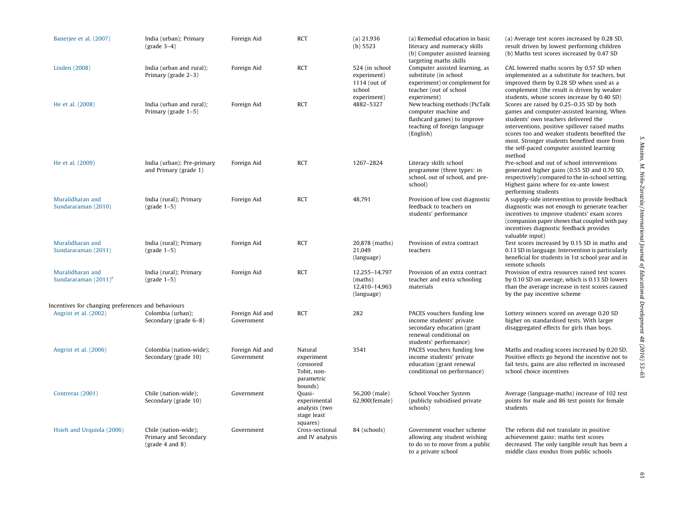| Banerjee et al. (2007)                               | India (urban); Primary<br>$(\text{grade }3-4)$                                                 | Foreign Aid                   | <b>RCT</b>                                                                 | $(a)$ 21,936<br>(b) 5523                                               | (a) Remedial education in basic<br>literacy and numeracy skills<br>(b) Computer assisted learning<br>targeting maths skills              | (a) Average test scores increased by 0.28 SD,<br>result driven by lowest performing children<br>(b) Maths test scores increased by 0.47 SD                                                                                                                                                                                              |  |  |
|------------------------------------------------------|------------------------------------------------------------------------------------------------|-------------------------------|----------------------------------------------------------------------------|------------------------------------------------------------------------|------------------------------------------------------------------------------------------------------------------------------------------|-----------------------------------------------------------------------------------------------------------------------------------------------------------------------------------------------------------------------------------------------------------------------------------------------------------------------------------------|--|--|
| Linden (2008)                                        | India (urban and rural);<br>Primary (grade 2-3)                                                | Foreign Aid                   | <b>RCT</b>                                                                 | 524 (in school<br>experiment)<br>1114 (out of<br>school<br>experiment) | Computer assisted learning, as<br>substitute (in school<br>experiment) or complement for<br>teacher (out of school<br>experiment)        | CAL lowered maths scores by 0.57 SD when<br>implemented as a substitute for teachers, but<br>improved them by 0.28 SD when used as a<br>complement (the result is driven by weaker<br>students, whose scores increase by 0.40 SD)                                                                                                       |  |  |
| He et al. (2008)                                     | India (urban and rural);<br>Primary (grade 1-5)                                                | Foreign Aid                   | <b>RCT</b>                                                                 | 4882-5327                                                              | New teaching methods (PicTalk<br>computer machine and<br>flashcard games) to improve<br>teaching of foreign language<br>(English)        | Scores are raised by 0.25-0.35 SD by both<br>games and computer-assisted learning. When<br>students' own teachers delivered the<br>interventions, positive spillover raised maths<br>scores too and weaker students benefited the<br>most. Stronger students benefited more from<br>the self-paced computer assisted learning<br>method |  |  |
| He et al. (2009)                                     | India (urban); Pre-primary<br>and Primary (grade 1)                                            | Foreign Aid                   | <b>RCT</b>                                                                 | 1267-2824                                                              | Literacy skills school<br>programme (three types: in<br>school, out of school, and pre-<br>school)                                       | Pre-school and out of school interventions<br>generated higher gains (0.55 SD and 0.70 SD,<br>respectively) compared to the in-school setting.<br>Highest gains where for ex-ante lowest<br>performing students                                                                                                                         |  |  |
| Muralidharan and<br>Sundararaman (2010)              | India (rural); Primary<br>$grad + 5)$                                                          | Foreign Aid                   | <b>RCT</b>                                                                 | 48,791                                                                 | Provision of low cost diagnostic<br>feedback to teachers on<br>students' performance                                                     | A supply-side intervention to provide feedback<br>diagnostic was not enough to generate teacher<br>incentives to improve students' exam scores<br>(companion paper shows that coupled with pay<br>incentives diagnostic feedback provides<br>valuable input)                                                                            |  |  |
| Muralidharan and<br>Sundararaman (2011)              | India (rural); Primary<br>$(grade 1-5)$                                                        | Foreign Aid                   | <b>RCT</b>                                                                 | 20,878 (maths)<br>21,049<br>(language)                                 | Provision of extra contract<br>teachers                                                                                                  | Test scores increased by 0.15 SD in maths and<br>0.13 SD in language. Intervention is particularly<br>beneficial for students in 1st school year and in<br>remote schools                                                                                                                                                               |  |  |
| Muralidharan and<br>Sundararaman (2011) <sup>a</sup> | India (rural); Primary<br>$\text{(grade } 1-5)$                                                | Foreign Aid                   | <b>RCT</b>                                                                 | 12.255-14.797<br>(maths)<br>12,410-14,963<br>(language)                | Provision of an extra contract<br>teacher and extra schooling<br>materials                                                               | Provision of extra resources raised test scores<br>by 0.10 SD on average, which is 0.13 SD lowers<br>than the average increase in test scores caused<br>by the pay incentive scheme                                                                                                                                                     |  |  |
| Incentives for changing preferences and behaviours   |                                                                                                |                               |                                                                            |                                                                        |                                                                                                                                          |                                                                                                                                                                                                                                                                                                                                         |  |  |
| Angrist et al. (2002)                                | Colombia (urban);<br>Secondary (grade 6-8)                                                     | Foreign Aid and<br>Government | <b>RCT</b>                                                                 | 282                                                                    | PACES vouchers funding low<br>income students' private<br>secondary education (grant<br>renewal conditional on<br>students' performance) | Lottery winners scored on average 0.20 SD<br>higher on standardised tests. With larger<br>disaggregated effects for girls than boys.                                                                                                                                                                                                    |  |  |
| Angrist et al. (2006)                                | Colombia (nation-wide);<br>Secondary (grade 10)                                                | Foreign Aid and<br>Government | Natural<br>experiment<br>(censored<br>Tobit, non-<br>parametric<br>bounds) | 3541                                                                   | PACES vouchers funding low<br>income students' private<br>education (grant renewal<br>conditional on performance)                        | Maths and reading scores increased by 0.20 SD.<br>Positive effects go beyond the incentive not to<br>fail tests, gains are also reflected in increased<br>school choice incentives                                                                                                                                                      |  |  |
| Contreras (2001)                                     | Chile (nation-wide);<br>Secondary (grade 10)                                                   | Government                    | Quasi-<br>experimental<br>analysis (two<br>stage least<br>squares)         | 56,200 (male)<br>62,900(female)                                        | School Voucher System<br>(publicly subsidised private<br>schools)                                                                        | Average (language-maths) increase of 102 test<br>points for male and 86 test points for female<br>students                                                                                                                                                                                                                              |  |  |
| Hsieh and Urquiola (2006)                            | Chile (nation-wide);<br>Primary and Secondary<br>$\left(\text{grade } 4 \text{ and } 8\right)$ | Government                    | Cross-sectional<br>and IV analysis                                         | 84 (schools)                                                           | Government voucher scheme<br>allowing any student wishing<br>to do so to move from a public<br>to a private school                       | The reform did not translate in positive<br>achievement gains: maths test scores<br>decreased. The only tangible result has been a<br>middle class exodus from public schools                                                                                                                                                           |  |  |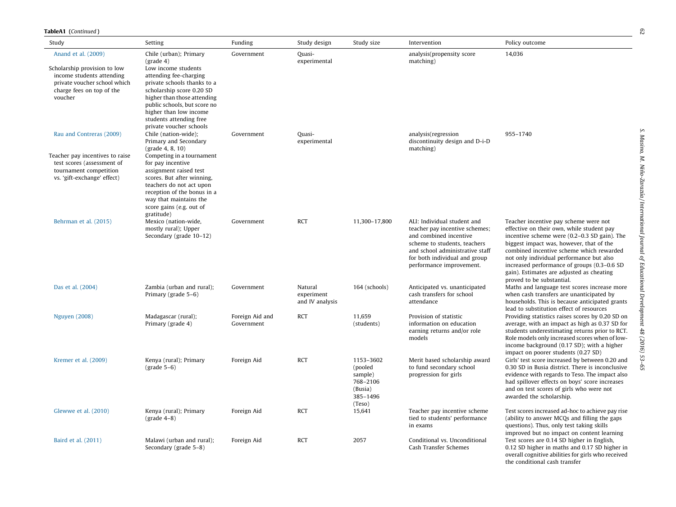TableA1 (Continued)

| Study                                                                                                                                                    | Setting                                                                                                                                                                                                                                                                                                       | Funding                       | Study design                             | Study size                                                                   | Intervention                                                                                                                                                                                                            | Policy outcome                                                                                                                                                                                                                                                                                                                                                                                  |
|----------------------------------------------------------------------------------------------------------------------------------------------------------|---------------------------------------------------------------------------------------------------------------------------------------------------------------------------------------------------------------------------------------------------------------------------------------------------------------|-------------------------------|------------------------------------------|------------------------------------------------------------------------------|-------------------------------------------------------------------------------------------------------------------------------------------------------------------------------------------------------------------------|-------------------------------------------------------------------------------------------------------------------------------------------------------------------------------------------------------------------------------------------------------------------------------------------------------------------------------------------------------------------------------------------------|
| Anand et al. (2009)<br>Scholarship provision to low<br>income students attending<br>private voucher school which<br>charge fees on top of the<br>voucher | Chile (urban); Primary<br>$\frac{1}{2}$ (grade 4)<br>Low income students<br>attending fee-charging<br>private schools thanks to a<br>scholarship score 0.20 SD<br>higher than those attending<br>public schools, but score no<br>higher than low income<br>students attending free<br>private voucher schools | Government                    | Quasi-<br>experimental                   |                                                                              | analysis(propensity score<br>matching)                                                                                                                                                                                  | 14,036                                                                                                                                                                                                                                                                                                                                                                                          |
| Rau and Contreras (2009)<br>Teacher pay incentives to raise<br>test scores (assessment of<br>tournament competition<br>vs. 'gift-exchange' effect)       | Chile (nation-wide);<br>Primary and Secondary<br>(grade 4, 8, 10)<br>Competing in a tournament<br>for pay incentive<br>assignment raised test<br>scores. But after winning,<br>teachers do not act upon<br>reception of the bonus in a<br>way that maintains the<br>score gains (e.g. out of<br>gratitude)    | Government                    | Ouasi-<br>experimental                   |                                                                              | analysis(regression<br>discontinuity design and D-i-D<br>matching)                                                                                                                                                      | 955-1740                                                                                                                                                                                                                                                                                                                                                                                        |
| Behrman et al. (2015)                                                                                                                                    | Mexico (nation-wide,<br>mostly rural); Upper<br>Secondary (grade 10-12)                                                                                                                                                                                                                                       | Government                    | <b>RCT</b>                               | 11,300-17,800                                                                | ALI: Individual student and<br>teacher pay incentive schemes;<br>and combined incentive<br>scheme to students, teachers<br>and school administrative staff<br>for both individual and group<br>performance improvement. | Teacher incentive pay scheme were not<br>effective on their own, while student pay<br>incentive scheme were (0.2–0.3 SD gain). The<br>biggest impact was, however, that of the<br>combined incentive scheme which rewarded<br>not only individual performance but also<br>increased performance of groups (0.3-0.6 SD<br>gain). Estimates are adjusted as cheating<br>proved to be substantial. |
| Das et al. (2004)                                                                                                                                        | Zambia (urban and rural);<br>Primary (grade 5–6)                                                                                                                                                                                                                                                              | Government                    | Natural<br>experiment<br>and IV analysis | 164 (schools)                                                                | Anticipated vs. unanticipated<br>cash transfers for school<br>attendance                                                                                                                                                | Maths and language test scores increase more<br>when cash transfers are unanticipated by<br>households. This is because anticipated grants<br>lead to substitution effect of resources                                                                                                                                                                                                          |
| <b>Nguyen</b> (2008)                                                                                                                                     | Madagascar (rural);<br>Primary (grade 4)                                                                                                                                                                                                                                                                      | Foreign Aid and<br>Government | <b>RCT</b>                               | 11,659<br>(students)                                                         | Provision of statistic<br>information on education<br>earning returns and/or role<br>models                                                                                                                             | Providing statistics raises scores by 0.20 SD on<br>average, with an impact as high as 0.37 SD for<br>students underestimating returns prior to RCT.<br>Role models only increased scores when of low-<br>income background (0.17 SD); with a higher<br>impact on poorer students (0.27 SD)                                                                                                     |
| Kremer et al. (2009)                                                                                                                                     | Kenya (rural); Primary<br>$grad = 5-6$                                                                                                                                                                                                                                                                        | Foreign Aid                   | <b>RCT</b>                               | 1153-3602<br>(pooled<br>sample)<br>768-2106<br>(Busia)<br>385-1496<br>(Teso) | Merit based scholarship award<br>to fund secondary school<br>progression for girls                                                                                                                                      | Girls' test score increased by between 0.20 and<br>0.30 SD in Busia district. There is inconclusive<br>evidence with regards to Teso. The impact also<br>had spillover effects on boys' score increases<br>and on test scores of girls who were not<br>awarded the scholarship.                                                                                                                 |
| Glewwe et al. (2010)                                                                                                                                     | Kenya (rural); Primary<br>$(grade 4-8)$                                                                                                                                                                                                                                                                       | Foreign Aid                   | <b>RCT</b>                               | 15,641                                                                       | Teacher pay incentive scheme<br>tied to students' performance<br>in exams                                                                                                                                               | Test scores increased ad-hoc to achieve pay rise<br>(ability to answer MCQs and filling the gaps<br>questions). Thus, only test taking skills<br>improved but no impact on content learning                                                                                                                                                                                                     |
| Baird et al. (2011)                                                                                                                                      | Malawi (urban and rural);<br>Secondary (grade 5-8)                                                                                                                                                                                                                                                            | Foreign Aid                   | <b>RCT</b>                               | 2057                                                                         | Conditional vs. Unconditional<br>Cash Transfer Schemes                                                                                                                                                                  | Test scores are 0.14 SD higher in English,<br>0.12 SD higher in maths and 0.17 SD higher in<br>overall cognitive abilities for girls who received<br>the conditional cash transfer                                                                                                                                                                                                              |

 $_{\rm g2}$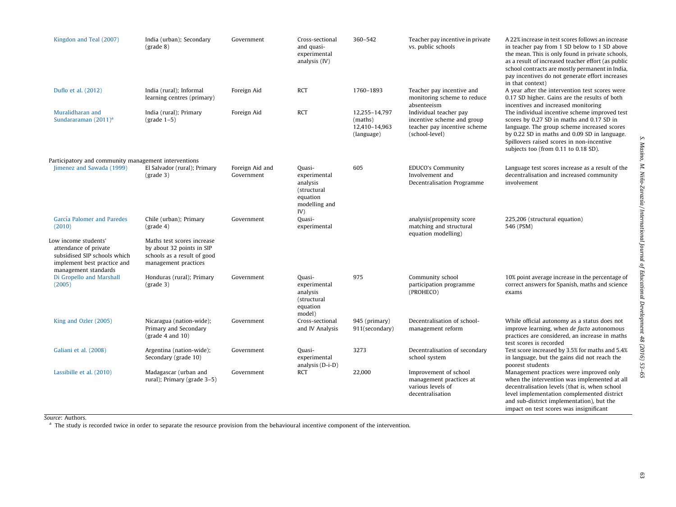<span id="page-10-0"></span>

| Kingdon and Teal (2007)                                                                                                              | India (urban); Secondary<br>$grade 8)$                                                                                | Government                    | Cross-sectional<br>and quasi-<br>experimental<br>analysis (IV)                        | 360-542                                                 | Teacher pay incentive in private<br>vs. public schools                                                 | A 22% increase in test scores follows an increase<br>in teacher pay from 1 SD below to 1 SD above<br>the mean. This is only found in private schools,<br>as a result of increased teacher effort (as public<br>school contracts are mostly permanent in India,<br>pay incentives do not generate effort increases<br>in that context) |
|--------------------------------------------------------------------------------------------------------------------------------------|-----------------------------------------------------------------------------------------------------------------------|-------------------------------|---------------------------------------------------------------------------------------|---------------------------------------------------------|--------------------------------------------------------------------------------------------------------|---------------------------------------------------------------------------------------------------------------------------------------------------------------------------------------------------------------------------------------------------------------------------------------------------------------------------------------|
| Duflo et al. (2012)                                                                                                                  | India (rural); Informal<br>learning centres (primary)                                                                 | Foreign Aid                   | <b>RCT</b>                                                                            | 1760-1893                                               | Teacher pay incentive and<br>monitoring scheme to reduce<br>absenteeism                                | A year after the intervention test scores were<br>0.17 SD higher. Gains are the results of both<br>incentives and increased monitoring                                                                                                                                                                                                |
| Muralidharan and<br>Sundararaman $(2011)^{a}$                                                                                        | India (rural); Primary<br>$\text{(grade } 1-5)$                                                                       | Foreign Aid                   | <b>RCT</b>                                                                            | 12,255-14,797<br>(maths)<br>12,410-14,963<br>(language) | Individual teacher pay<br>incentive scheme and group<br>teacher pay incentive scheme<br>(school-level) | The individual incentive scheme improved test<br>scores by 0.27 SD in maths and 0.17 SD in<br>language. The group scheme increased scores<br>by 0.22 SD in maths and 0.09 SD in language.<br>Spillovers raised scores in non-incentive<br>subjects too (from 0.11 to 0.18 SD).                                                        |
| Participatory and community management interventions                                                                                 |                                                                                                                       |                               |                                                                                       |                                                         |                                                                                                        |                                                                                                                                                                                                                                                                                                                                       |
| Jimenez and Sawada (1999)                                                                                                            | El Salvador (rural); Primary<br>$grade$ 3)                                                                            | Foreign Aid and<br>Government | Quasi-<br>experimental<br>analysis<br>(structural<br>equation<br>modelling and<br>IV) | 605                                                     | <b>EDUCO's Community</b><br>Involvement and<br>Decentralisation Programme                              | Language test scores increase as a result of the<br>decentralisation and increased community<br>involvement                                                                                                                                                                                                                           |
| García Palomer and Paredes<br>(2010)                                                                                                 | Chile (urban); Primary<br>$grade$ 4)                                                                                  | Government                    | Quasi-<br>experimental                                                                |                                                         | analysis(propensity score<br>matching and structural<br>equation modelling)                            | 225,206 (structural equation)<br>546 (PSM)                                                                                                                                                                                                                                                                                            |
| Low income students'<br>attendance of private<br>subsidised SIP schools which<br>implement best practice and<br>management standards | Maths test scores increase<br>by about 32 points in SIP<br>schools as a result of good<br>management practices        |                               |                                                                                       |                                                         |                                                                                                        |                                                                                                                                                                                                                                                                                                                                       |
| Di Gropello and Marshall<br>(2005)                                                                                                   | Honduras (rural); Primary<br>$grade$ 3)                                                                               | Government                    | Ouasi-<br>experimental<br>analysis<br>(structural<br>equation<br>model)               | 975                                                     | Community school<br>participation programme<br>(PROHECO)                                               | 10% point average increase in the percentage of<br>correct answers for Spanish, maths and science<br>exams                                                                                                                                                                                                                            |
| King and Ozler (2005)                                                                                                                | Nicaragua (nation-wide);<br>Primary and Secondary<br>$g q g q g q h q h q h q h q h q h h h q h q h q h q h q h q h $ | Government                    | Cross-sectional<br>and IV Analysis                                                    | 945 (primary)<br>911(secondary)                         | Decentralisation of school-<br>management reform                                                       | While official autonomy as a status does not<br>improve learning, when de facto autonomous<br>practices are considered, an increase in maths<br>test scores is recorded                                                                                                                                                               |
| Galiani et al. (2008)                                                                                                                | Argentina (nation-wide);<br>Secondary (grade 10)                                                                      | Government                    | Quasi-<br>experimental<br>analysis (D-i-D)                                            | 3273                                                    | Decentralisation of secondary<br>school system                                                         | Test score increased by 3.5% for maths and 5.4%<br>in language, but the gains did not reach the<br>poorest students                                                                                                                                                                                                                   |
| Lassibille et al. (2010)                                                                                                             | Madagascar (urban and<br>rural); Primary (grade 3–5)                                                                  | Government                    | RCT                                                                                   | 22,000                                                  | Improvement of school<br>management practices at<br>various levels of<br>decentralisation              | Management practices were improved only<br>when the intervention was implemented at all<br>decentralisation levels (that is, when school<br>level implementation complemented district<br>and sub-district implementation), but the<br>impact on test scores was insignificant                                                        |

Source: Authors.

<sup>a</sup> The study is recorded twice in order to separate the resource provision from the behavioural incentive component of the intervention.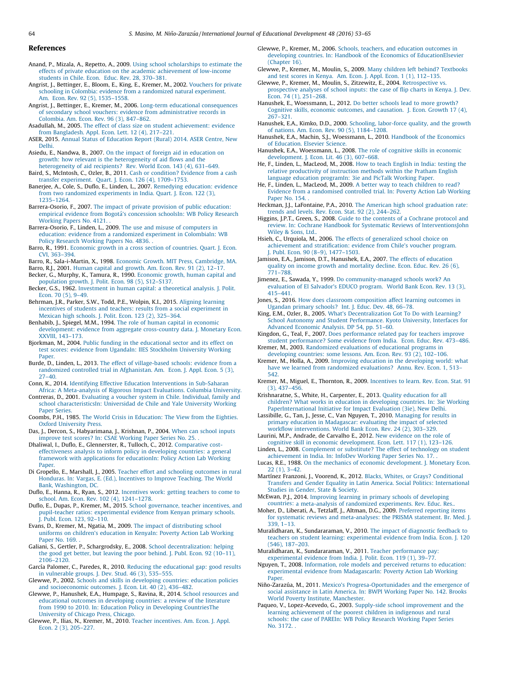#### <span id="page-11-0"></span>References

Anand, P., Mizala, A., Repetto, A., 2009. Using school [scholarships](http://refhub.elsevier.com/S0738-0593(15)30014-6/sbref0005) to estimate the effects of private education on the academic [achievement](http://refhub.elsevier.com/S0738-0593(15)30014-6/sbref0005) of low-income students in Chile. Econ. Educ. Rev. 28, [370–381](http://refhub.elsevier.com/S0738-0593(15)30014-6/sbref0005).

- Angrist, J., Bettinger, E., Bloom, E., King, E., Kremer, M., 2002. [Vouchers](http://refhub.elsevier.com/S0738-0593(15)30014-6/sbref0010) for private schooling in Colombia: evidence from a [randomized](http://refhub.elsevier.com/S0738-0593(15)30014-6/sbref0010) natural experiment. Am. Econ. Rev. 92 (5), [1535–1558.](http://refhub.elsevier.com/S0738-0593(15)30014-6/sbref0010)
- Angrist, J., Bettinger, E., Kremer, M., 2006. Long-term educational [consequences](http://refhub.elsevier.com/S0738-0593(15)30014-6/sbref0015) of secondary school vouchers: evidence from [administrative](http://refhub.elsevier.com/S0738-0593(15)30014-6/sbref0015) records in [Colombia.](http://refhub.elsevier.com/S0738-0593(15)30014-6/sbref0015) Am. Econ. Rev. 96 (3), 847–862.
- Asadullah, M., 2005. The effect of class size on student [achievement:](http://refhub.elsevier.com/S0738-0593(15)30014-6/sbref0020) evidence from [Bangladesh.](http://refhub.elsevier.com/S0738-0593(15)30014-6/sbref0020) Appl. Econ. Lett. 12 (4), 217–221.
- ASER, 2015. Annual Status of [Education](http://refhub.elsevier.com/S0738-0593(15)30014-6/sbref0025) Report (Rural) 2014. ASER Centre, New [Delhi.](http://refhub.elsevier.com/S0738-0593(15)30014-6/sbref0025)
- Asiedu, E., Nandwa, B., 2007. On the impact of foreign aid in [education](http://refhub.elsevier.com/S0738-0593(15)30014-6/sbref0030) on growth: how relevant is the [heterogeneity](http://refhub.elsevier.com/S0738-0593(15)30014-6/sbref0030) of aid flows and the [heterogeneity](http://refhub.elsevier.com/S0738-0593(15)30014-6/sbref0030) of aid recipients? Rev. World Econ. 143 (4), 631–649.
- Baird, S., McIntosh, C., Ozler, B., 2011. Cash or [condition?](http://refhub.elsevier.com/S0738-0593(15)30014-6/sbref0035) Evidence from a cash transfer [experiment.](http://refhub.elsevier.com/S0738-0593(15)30014-6/sbref0035) Quart. J. Econ. 126 (4), 1709–1753.
- Banerjee, A., Cole, S., Duflo, E., Linden, L., 2007. [Remedying](http://refhub.elsevier.com/S0738-0593(15)30014-6/sbref0040) education: evidence from two randomized [experiments](http://refhub.elsevier.com/S0738-0593(15)30014-6/sbref0040) in India. Quart. J. Econ. 122 (3), [1235–1264](http://refhub.elsevier.com/S0738-0593(15)30014-6/sbref0040).
- Barrera-Osorio, F., 2007. The impact of private provision of public [education:](http://refhub.elsevier.com/S0738-0593(15)30014-6/sbref0045) empirical evidence from Bogota´'s [concession](http://refhub.elsevier.com/S0738-0593(15)30014-6/sbref0045) schoolsIn: WB Policy Research [Working](http://refhub.elsevier.com/S0738-0593(15)30014-6/sbref0045) Papers No. 4121.
- Barrera-Osorio, F., Linden, L., 2009. The use and misuse of [computers](http://refhub.elsevier.com/S0738-0593(15)30014-6/sbref0050) in education: evidence from a randomized experiment in [ColombiaIn:](http://refhub.elsevier.com/S0738-0593(15)30014-6/sbref0050) WB Policy [Research](http://refhub.elsevier.com/S0738-0593(15)30014-6/sbref0050) Working Papers No. 4836.
- Barro, R., 1991. Economic growth in a cross section of [countries.](http://refhub.elsevier.com/S0738-0593(15)30014-6/sbref0055) Quart. J. Econ. CVI, [363–394.](http://refhub.elsevier.com/S0738-0593(15)30014-6/sbref0055)
- Barro, R., Sala-i-Martin, X., 1998. Economic Growth. MIT Press, [Cambridge,](http://refhub.elsevier.com/S0738-0593(15)30014-6/sbref0060) MA.
- Barro, R.J., 2001. Human capital and [growth.](http://refhub.elsevier.com/S0738-0593(15)30014-6/sbref0065) Am. Econ. Rev. 91 (2), 12–17.
- Becker, G., Murphy, K., Tamura, R., 1990. [Economic](http://refhub.elsevier.com/S0738-0593(15)30014-6/sbref0070) growth, human capital and [population](http://refhub.elsevier.com/S0738-0593(15)30014-6/sbref0070) growth. J. Polit. Econ. 98 (5), S12–S137.
- Becker, G.S., 1962. [Investment](http://refhub.elsevier.com/S0738-0593(15)30014-6/sbref0075) in human capital: a theoretical analysis. J. Polit. [Econ.](http://refhub.elsevier.com/S0738-0593(15)30014-6/sbref0075) 70 (5), 9–49.
- Behrman, J.R., Parker, S.W., Todd, P.E., Wolpin, K.I., 2015. [Aligning](http://refhub.elsevier.com/S0738-0593(15)30014-6/sbref0080) learning incentives of students and teachers: results from a social [experiment](http://refhub.elsevier.com/S0738-0593(15)30014-6/sbref0080) in Mexican high schools. J. Polit. Econ. 123 (2), [325–364](http://refhub.elsevier.com/S0738-0593(15)30014-6/sbref0080).
- Benhabib, J., Spiegel, M.M., 1994. The role of human capital in [economic](http://refhub.elsevier.com/S0738-0593(15)30014-6/sbref0085) [development:](http://refhub.elsevier.com/S0738-0593(15)30014-6/sbref0085) evidence from aggregate cross-country data. J. Monetary Econ. XXVIII, [143–173.](http://refhub.elsevier.com/S0738-0593(15)30014-6/sbref0085)
- Bjorkman, M., 2004. Public funding in the [educational](http://refhub.elsevier.com/S0738-0593(15)30014-6/sbref0090) sector and its effect on test scores: evidence from UgandaIn: IIES [Stockholm](http://refhub.elsevier.com/S0738-0593(15)30014-6/sbref0090) University Working [Paper.](http://refhub.elsevier.com/S0738-0593(15)30014-6/sbref0090)
- Burde, D., Linden, L., 2013. The effect of [village-based](http://refhub.elsevier.com/S0738-0593(15)30014-6/sbref0095) schools: evidence from a randomized controlled trial in [Afghanistan.](http://refhub.elsevier.com/S0738-0593(15)30014-6/sbref0095) Am. Econ. J. Appl. Econ. 5 (3), [27–40.](http://refhub.elsevier.com/S0738-0593(15)30014-6/sbref0095)
- Conn, K., 2014. Identifying Effective Education [Interventions](http://refhub.elsevier.com/S0738-0593(15)30014-6/sbref0100) in Sub-Saharan Africa: A [Meta-analysis](http://refhub.elsevier.com/S0738-0593(15)30014-6/sbref0100) of Rigorous Impact Evaluations. Columbia University.
- Contreras, D., 2001. Evaluating a voucher system in Chile. [Individual,](http://refhub.elsevier.com/S0738-0593(15)30014-6/sbref0105) family and school [characteristicsIn:](http://refhub.elsevier.com/S0738-0593(15)30014-6/sbref0105) Universidad de Chile and Yale University Working Paper [Series](http://refhub.elsevier.com/S0738-0593(15)30014-6/sbref0105).
- Coombs, P.H., 1985. The World Crisis in [Education:](http://refhub.elsevier.com/S0738-0593(15)30014-6/sbref0110) The View from the Eighties. Oxford [University](http://refhub.elsevier.com/S0738-0593(15)30014-6/sbref0110) Press.
- Das, J., Dercon, S., Habyarimana, J., Krishnan, P., 2004. When can [school](http://refhub.elsevier.com/S0738-0593(15)30014-6/sbref0115) inputs improve test scores? In: CSAE [Working](http://refhub.elsevier.com/S0738-0593(15)30014-6/sbref0115) Paper Series No. 25. .
- Dhaliwal, I., Duflo, E., Glennerster, R., Tulloch, C., 2012. [Comparative](http://refhub.elsevier.com/S0738-0593(15)30014-6/sbref0125) cost[effectiveness](http://refhub.elsevier.com/S0738-0593(15)30014-6/sbref0125) analysis to inform policy in developing countries: a general framework with applications for [educationIn:](http://refhub.elsevier.com/S0738-0593(15)30014-6/sbref0125) Policy Action Lab Working Paper
- Di Gropello, E., Marshall, J., 2005. Teacher effort and schooling [outcomes](http://refhub.elsevier.com/S0738-0593(15)30014-6/sbref0130) in rural Honduras. In: Vargas, E. (Ed.), [Incentives](http://refhub.elsevier.com/S0738-0593(15)30014-6/sbref0130) to Improve Teaching. The World Bank, [Washington,](http://refhub.elsevier.com/S0738-0593(15)30014-6/sbref0130) DC.
- Duflo, E., Hanna, R., Ryan, S., 2012. [Incentives](http://refhub.elsevier.com/S0738-0593(15)30014-6/sbref0135) work: getting teachers to come to
- school. Am. Econ. Rev. 102 (4), [1241–1278.](http://refhub.elsevier.com/S0738-0593(15)30014-6/sbref0135) Duflo, E., Dupas, P., Kremer, M., 2015. School [governance,](http://refhub.elsevier.com/S0738-0593(15)30014-6/sbref0140) teacher incentives, and [pupil-teacher](http://refhub.elsevier.com/S0738-0593(15)30014-6/sbref0140) ratios: experimental evidence from Kenyan primary schools. J. Publ. Econ. 123, [92–110.](http://refhub.elsevier.com/S0738-0593(15)30014-6/sbref0140)
- Evans, D., Kremer, M., Ngatia, M., 2009. The impact of [distributing](http://refhub.elsevier.com/S0738-0593(15)30014-6/sbref0145) school uniforms on children's [education](http://refhub.elsevier.com/S0738-0593(15)30014-6/sbref0145) in KenyaIn: Poverty Action Lab Working [Paper](http://refhub.elsevier.com/S0738-0593(15)30014-6/sbref0145) No. 169.
- Galiani, S., Gertler, P., Schargrodsky, E., 2008. School [decentralization:](http://refhub.elsevier.com/S0738-0593(15)30014-6/sbref0150) helping the good get better, but leaving the poor behind. J. Publ. Econ. 92 [\(10–11\),](http://refhub.elsevier.com/S0738-0593(15)30014-6/sbref0150) [2106–2120](http://refhub.elsevier.com/S0738-0593(15)30014-6/sbref0150).
- García Palomer, C., Paredes, R., 2010. Reducing the [educational](http://refhub.elsevier.com/S0738-0593(15)30014-6/sbref0155) gap: good results in [vulnerable](http://refhub.elsevier.com/S0738-0593(15)30014-6/sbref0155) groups. J. Dev. Stud. 46 (3), 535–555.
- Glewwe, P., 2002. Schools and skills in [developing](http://refhub.elsevier.com/S0738-0593(15)30014-6/sbref0160) countries: education policies and [socioeconomic](http://refhub.elsevier.com/S0738-0593(15)30014-6/sbref0160) outcomes. J. Econ. Lit. 40 (2), 436–482.
- Glewwe, P., Hanushek, E.A., Humpage, S., Ravina, R., 2014. School [resources](http://refhub.elsevier.com/S0738-0593(15)30014-6/sbref0165) and [educational](http://refhub.elsevier.com/S0738-0593(15)30014-6/sbref0165) outcomes in developing countries: a review of the literature from 1990 to 2010. In: Education Policy in Developing [CountriesThe](http://refhub.elsevier.com/S0738-0593(15)30014-6/sbref0165) [University](http://refhub.elsevier.com/S0738-0593(15)30014-6/sbref0165) of Chicago Press, Chicago.
- Glewwe, P., Ilias, N., Kremer, M., 2010. Teacher [incentives.](http://refhub.elsevier.com/S0738-0593(15)30014-6/sbref0170) Am. Econ. J. Appl. Econ. 2 (3), [205–227.](http://refhub.elsevier.com/S0738-0593(15)30014-6/sbref0170)
- Glewwe, P., Kremer, M., 2006. Schools, teachers, and [education](http://refhub.elsevier.com/S0738-0593(15)30014-6/sbref0175) outcomes in developing countries. In: Handbook of the Economics of [EducationElsevier](http://refhub.elsevier.com/S0738-0593(15)30014-6/sbref0175) [\(Chapter](http://refhub.elsevier.com/S0738-0593(15)30014-6/sbref0175) 16).
- Glewwe, P., Kremer, M., Moulin, S., 2009. Many children left behind? [Textbooks](http://refhub.elsevier.com/S0738-0593(15)30014-6/sbref0180) and test scores in Kenya. Am. Econ. J. Appl. Econ. 1 (1), [112–135.](http://refhub.elsevier.com/S0738-0593(15)30014-6/sbref0180)
- Glewwe, P., Kremer, M., Moulin, S., Zitzewitz, E., 2004. [Retrospective](http://refhub.elsevier.com/S0738-0593(15)30014-6/sbref0185) vs. [prospective](http://refhub.elsevier.com/S0738-0593(15)30014-6/sbref0185) analyses of school inputs: the case of flip charts in Kenya. J. Dev. Econ. 74 (1), [251–268.](http://refhub.elsevier.com/S0738-0593(15)30014-6/sbref0185)
- Hanushek, E., Woessmann, L., 2012. Do better schools lead to more [growth?](http://refhub.elsevier.com/S0738-0593(15)30014-6/sbref0190) Cognitive skills, economic [outcomes,](http://refhub.elsevier.com/S0738-0593(15)30014-6/sbref0190) and causation. J. Econ. Growth 17 (4), [267–321.](http://refhub.elsevier.com/S0738-0593(15)30014-6/sbref0190)
- Hanushek, E.A., Kimko, D.D., 2000. Schooling, [labor-force](http://refhub.elsevier.com/S0738-0593(15)30014-6/sbref0195) quality, and the growth of nations. Am. Econ. Rev. 90 (5), [1184–1208.](http://refhub.elsevier.com/S0738-0593(15)30014-6/sbref0195)
- Hanushek, E.A., Machin, S.J., Woessmann, L., 2010. Handbook of the [Economics](http://refhub.elsevier.com/S0738-0593(15)30014-6/sbref0200) of [Education.](http://refhub.elsevier.com/S0738-0593(15)30014-6/sbref0200) Elsevier Science.
- Hanushek, E.A., Woessmann, L., 2008. The role of cognitive skills in [economic](http://refhub.elsevier.com/S0738-0593(15)30014-6/sbref0205) [development.](http://refhub.elsevier.com/S0738-0593(15)30014-6/sbref0205) J. Econ. Lit. 46 (3), 607–668.
- He, F., Linden, L., MacLeod, M., 2008. How to teach [English](http://refhub.elsevier.com/S0738-0593(15)30014-6/sbref0210) in India: testing the relative [productivity](http://refhub.elsevier.com/S0738-0593(15)30014-6/sbref0210) of instruction methods within the Pratham English language education [programIn:](http://refhub.elsevier.com/S0738-0593(15)30014-6/sbref0210) 3ie and PicTalk Working Paper.
- He, F., Linden, L., MacLeod, M., 2009. A better way to teach [children](http://refhub.elsevier.com/S0738-0593(15)30014-6/sbref0215) to read? Evidence from a [randomised](http://refhub.elsevier.com/S0738-0593(15)30014-6/sbref0215) controlled trial. In: Poverty Action Lab Working [Paper](http://refhub.elsevier.com/S0738-0593(15)30014-6/sbref0215) No. 154.
- Heckman, J.J., LaFontaine, P.A., 2010. The American high school [graduation](http://refhub.elsevier.com/S0738-0593(15)30014-6/sbref0220) rate: trends and levels. Rev. Econ. Stat. 92 (2), [244–262.](http://refhub.elsevier.com/S0738-0593(15)30014-6/sbref0220)
- Higgins, J.P.T., Green, S., 2008. Guide to the contents of a [Cochrane](http://refhub.elsevier.com/S0738-0593(15)30014-6/sbref0225) protocol and review. In: Cochrane Handbook for Systematic Reviews of [InterventionsJohn](http://refhub.elsevier.com/S0738-0593(15)30014-6/sbref0225) [Wiley](http://refhub.elsevier.com/S0738-0593(15)30014-6/sbref0225) & Sons, Ltd..
- Hsieh, C., Urquiola, M., 2006. The effects of [generalized](http://refhub.elsevier.com/S0738-0593(15)30014-6/sbref0230) school choice on achievement and [stratification:](http://refhub.elsevier.com/S0738-0593(15)30014-6/sbref0230) evidence from Chile's voucher program. J. Publ. Econ. 90 (8–9), [1477–1503](http://refhub.elsevier.com/S0738-0593(15)30014-6/sbref0230).
- Jamison, E.A., Jamison, D.T., Hanushek, E.A., 2007. The effects of [education](http://refhub.elsevier.com/S0738-0593(15)30014-6/sbref0235) quality on income growth and [mortality](http://refhub.elsevier.com/S0738-0593(15)30014-6/sbref0235) decline. Econ. Educ. Rev. 26 (6), [771–788.](http://refhub.elsevier.com/S0738-0593(15)30014-6/sbref0235)
- Jimenez, E., Sawada, Y., 1999. Do [community-managed](http://refhub.elsevier.com/S0738-0593(15)30014-6/sbref0240) schools work? An [evaluation](http://refhub.elsevier.com/S0738-0593(15)30014-6/sbref0240) of El Salvador's EDUCO program. World Bank Econ. Rev. 13 (3), [415–441.](http://refhub.elsevier.com/S0738-0593(15)30014-6/sbref0240)
- Jones, S., 2016. How does classroom [composition](http://refhub.elsevier.com/S0738-0593(15)30014-6/sbref0246) affect learning outcomes in [Ugandan](http://refhub.elsevier.com/S0738-0593(15)30014-6/sbref0246) primary schools? Int. J. Educ. Dev. 48, 66–78.
- King, E.M., Ozler, B., 2005. What's [Decentralization](http://refhub.elsevier.com/S0738-0593(15)30014-6/sbref0245) Got To Do with Learning? School Autonomy and Student [Performance.](http://refhub.elsevier.com/S0738-0593(15)30014-6/sbref0245) Kyoto University, Interfaces for Advanced [Economic](http://refhub.elsevier.com/S0738-0593(15)30014-6/sbref0245) Analysis. DP 54, pp. 51–60.
- Kingdon, G., Teal, F., 2007. Does [performance](http://refhub.elsevier.com/S0738-0593(15)30014-6/sbref0250) related pay for teachers improve student [performance?](http://refhub.elsevier.com/S0738-0593(15)30014-6/sbref0250) Some evidence from India. Econ. Educ. Rev. 473–486.
- Kremer, M., 2003. [Randomized](http://refhub.elsevier.com/S0738-0593(15)30014-6/sbref0255) evaluations of educational programs in [developing](http://refhub.elsevier.com/S0738-0593(15)30014-6/sbref0255) countries: some lessons. Am. Econ. Rev. 93 (2), 102–106.
- Kremer, M., Holla, A., 2009. Improving education in the [developing](http://refhub.elsevier.com/S0738-0593(15)30014-6/sbref0260) world: what have we learned from randomized [evaluations?](http://refhub.elsevier.com/S0738-0593(15)30014-6/sbref0260) Annu. Rev. Econ. 1, 513– [542](http://refhub.elsevier.com/S0738-0593(15)30014-6/sbref0260).
- Kremer, M., Miguel, E., Thornton, R., 2009. [Incentives](http://refhub.elsevier.com/S0738-0593(15)30014-6/sbref0265) to learn. Rev. Econ. Stat. 91 (3), [437–456](http://refhub.elsevier.com/S0738-0593(15)30014-6/sbref0265).
- Krishnaratne, S., White, H., Carpenter, E., 2013. Quality [education](http://refhub.elsevier.com/S0738-0593(15)30014-6/sbref0270) for all children? What works in education in [developing](http://refhub.elsevier.com/S0738-0593(15)30014-6/sbref0270) countries. In: 3ie Working [PaperInternational](http://refhub.elsevier.com/S0738-0593(15)30014-6/sbref0270) Initiative for Impact Evaluation (3ie), New Delhi.
- Lassibille, G., Tan, J., Jesse, C., Van Nguyen, T., 2010. [Managing](http://refhub.elsevier.com/S0738-0593(15)30014-6/sbref0275) for results in primary education in [Madagascar:](http://refhub.elsevier.com/S0738-0593(15)30014-6/sbref0275) evaluating the impact of selected workflow [interventions.](http://refhub.elsevier.com/S0738-0593(15)30014-6/sbref0275) World Bank Econ. Rev. 24 (2), 303–329.
- Laurini, M.P., Andrade, de Carvalho E., 2012. New [evidence](http://refhub.elsevier.com/S0738-0593(15)30014-6/sbref0280) on the role of cognitive skill in economic [development.](http://refhub.elsevier.com/S0738-0593(15)30014-6/sbref0280) Econ. Lett. 117 (1), 123–126.
- Linden, L., 2008. [Complement](http://refhub.elsevier.com/S0738-0593(15)30014-6/sbref0285) or substitute? The effect of technology on student [achievement](http://refhub.elsevier.com/S0738-0593(15)30014-6/sbref0285) in India. In: InfoDev Working Paper Series No. 17.
- Lucas, R.E., 1988. On the mechanics of economic [development.](http://refhub.elsevier.com/S0738-0593(15)30014-6/sbref0290) J. Monetary Econ. 22 (1), [3–42.](http://refhub.elsevier.com/S0738-0593(15)30014-6/sbref0290)
- Martínez Franzoni, J., Voorend, K., 2012. Blacks, Whites, or Grays? [Conditional](http://refhub.elsevier.com/S0738-0593(15)30014-6/sbref0295) Transfers and Gender Equality in Latin America. Social Politics: [International](http://refhub.elsevier.com/S0738-0593(15)30014-6/sbref0295) Studies in [Gender,](http://refhub.elsevier.com/S0738-0593(15)30014-6/sbref0295) State & Society.
- McEwan, P.J., 2014. Improving learning in primary schools of [developing](http://refhub.elsevier.com/S0738-0593(15)30014-6/sbref0300) countries: a [meta-analysis](http://refhub.elsevier.com/S0738-0593(15)30014-6/sbref0300) of randomized experiments. Rev. Educ. Res..
- Moher, D., Liberati, A., Tetzlaff, J., Altman, D.G., 2009. Preferred [reporting](http://refhub.elsevier.com/S0738-0593(15)30014-6/sbref0310) items for systematic reviews and [meta-analyses:](http://refhub.elsevier.com/S0738-0593(15)30014-6/sbref0310) the PRISMA statement. Br. Med. J. 339, [1–13](http://refhub.elsevier.com/S0738-0593(15)30014-6/sbref0310).
- Muralidharan, K., Sundararaman, V., 2010. The impact of [diagnostic](http://refhub.elsevier.com/S0738-0593(15)30014-6/sbref0315) feedback to teachers on student learning: [experimental](http://refhub.elsevier.com/S0738-0593(15)30014-6/sbref0315) evidence from India. Econ. J. 120 (546), [187–203.](http://refhub.elsevier.com/S0738-0593(15)30014-6/sbref0315)
- Muralidharan, K., Sundararaman, V., 2011. Teacher [performance](http://refhub.elsevier.com/S0738-0593(15)30014-6/sbref0320) pay: [experimental](http://refhub.elsevier.com/S0738-0593(15)30014-6/sbref0320) evidence from India. J. Polit. Econ. 119 (1), 39–77.
- Nguyen, T., 2008. [Information,](http://refhub.elsevier.com/S0738-0593(15)30014-6/sbref0325) role models and perceived returns to education: experimental evidence from [MadagascarIn:](http://refhub.elsevier.com/S0738-0593(15)30014-6/sbref0325) Poverty Action Lab Working [Paper.](http://refhub.elsevier.com/S0738-0593(15)30014-6/sbref0325)
- Niño-Zarazúa, M., 2011. Mexico's [Progresa-Oportunidades](http://refhub.elsevier.com/S0738-0593(15)30014-6/sbref0330) and the emergence of social [assistance](http://refhub.elsevier.com/S0738-0593(15)30014-6/sbref0330) in Latin America. In: BWPI Working Paper No. 142. Brooks World Poverty Institute, [Manchester](http://refhub.elsevier.com/S0738-0593(15)30014-6/sbref0330).
- Paqueo, V., Lopez-Acevedo, G., 2003. Supply-side school [improvement](http://refhub.elsevier.com/S0738-0593(15)30014-6/sbref0340) and the learning [achievement](http://refhub.elsevier.com/S0738-0593(15)30014-6/sbref0340) of the poorest children in indigenous and rural schools: the case of PAREIn: WB Policy [Research](http://refhub.elsevier.com/S0738-0593(15)30014-6/sbref0340) Working Paper Series No. [3172.](http://refhub.elsevier.com/S0738-0593(15)30014-6/sbref0340) .